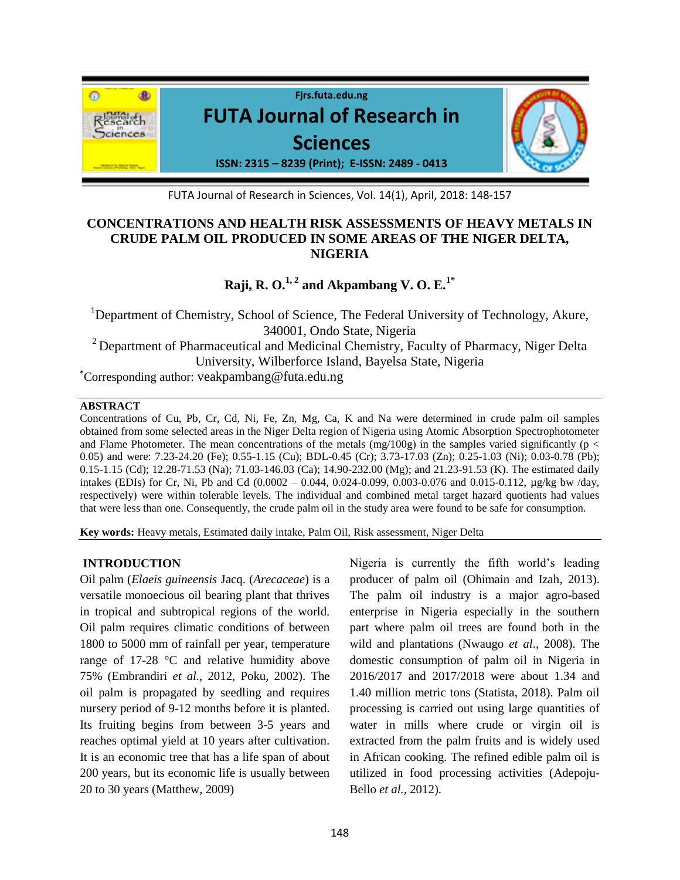

FUTA Journal of Research in Sciences, Vol. 14(1), April, 2018: 148-157

## **CONCENTRATIONS AND HEALTH RISK ASSESSMENTS OF HEAVY METALS IN CRUDE PALM OIL PRODUCED IN SOME AREAS OF THE NIGER DELTA, NIGERIA**

# **Raji, R. O.** $^{1,2}$  **and Akpambang V. O. E.** $^{1*}$

<sup>1</sup>Department of Chemistry, School of Science, The Federal University of Technology, Akure, 340001, Ondo State, Nigeria  $2$  Department of Pharmaceutical and Medicinal Chemistry, Faculty of Pharmacy, Niger Delta University, Wilberforce Island, Bayelsa State, Nigeria **\***Corresponding author: veakpambang@futa.edu.ng

#### **ABSTRACT**

Concentrations of Cu, Pb, Cr, Cd, Ni, Fe, Zn, Mg, Ca, K and Na were determined in crude palm oil samples obtained from some selected areas in the Niger Delta region of Nigeria using Atomic Absorption Spectrophotometer and Flame Photometer. The mean concentrations of the metals  $(mg/100g)$  in the samples varied significantly ( $p <$ 0.05) and were: 7.23-24.20 (Fe); 0.55-1.15 (Cu); BDL-0.45 (Cr); 3.73-17.03 (Zn); 0.25-1.03 (Ni); 0.03-0.78 (Pb); 0.15-1.15 (Cd); 12.28-71.53 (Na); 71.03-146.03 (Ca); 14.90-232.00 (Mg); and 21.23-91.53 (K). The estimated daily intakes (EDIs) for Cr, Ni, Pb and Cd (0.0002 – 0.044, 0.024-0.099, 0.003-0.076 and 0.015-0.112, µg/kg bw /day, respectively) were within tolerable levels. The individual and combined metal target hazard quotients had values that were less than one. Consequently, the crude palm oil in the study area were found to be safe for consumption.

**Key words:** Heavy metals, Estimated daily intake, Palm Oil, Risk assessment, Niger Delta

## **INTRODUCTION**

Oil palm (*Elaeis guineensis* Jacq. (*Arecaceae*) is a versatile monoecious oil bearing plant that thrives in tropical and subtropical regions of the world. Oil palm requires climatic conditions of between 1800 to 5000 mm of rainfall per year, temperature range of 17-28 °C and relative humidity above 75% (Embrandiri *et al.,* 2012*,* Poku, 2002). The oil palm is propagated by seedling and requires nursery period of 9-12 months before it is planted. Its fruiting begins from between 3-5 years and reaches optimal yield at 10 years after cultivation. It is an economic tree that has a life span of about 200 years, but its economic life is usually between 20 to 30 years (Matthew, 2009)

Nigeria is currently the fifth world's leading producer of palm oil (Ohimain and Izah, 2013). The palm oil industry is a major agro-based enterprise in Nigeria especially in the southern part where palm oil trees are found both in the wild and plantations (Nwaugo *et al*., 2008). The domestic consumption of palm oil in Nigeria in 2016/2017 and 2017/2018 were about 1.34 and 1.40 million metric tons (Statista, 2018). Palm oil processing is carried out using large quantities of water in mills where crude or virgin oil is extracted from the palm fruits and is widely used in African cooking. The refined edible palm oil is utilized in food processing activities (Adepoju-Bello *et al.,* 2012).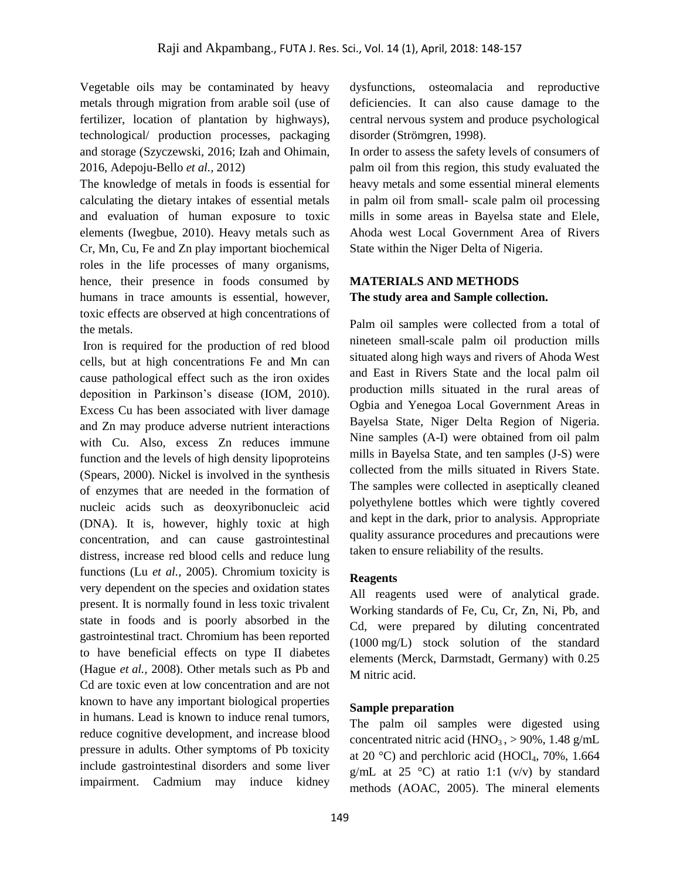Vegetable oils may be contaminated by heavy metals through migration from arable soil (use of fertilizer, location of plantation by highways), technological/ production processes, packaging and storage (Szyczewski, 2016; Izah and Ohimain, 2016, Adepoju-Bello *et al.,* 2012)

The knowledge of metals in foods is essential for calculating the dietary intakes of essential metals and evaluation of human exposure to toxic elements (Iwegbue, 2010). Heavy metals such as Cr, Mn, Cu, Fe and Zn play important biochemical roles in the life processes of many organisms, hence, their presence in foods consumed by humans in trace amounts is essential, however, toxic effects are observed at high concentrations of the metals.

Iron is required for the production of red blood cells, but at high concentrations Fe and Mn can cause pathological effect such as the iron oxides deposition in Parkinson's disease (IOM, 2010). Excess Cu has been associated with liver damage and Zn may produce adverse nutrient interactions with Cu. Also, excess Zn reduces immune function and the levels of high density lipoproteins (Spears, 2000). Nickel is involved in the synthesis of enzymes that are needed in the formation of nucleic acids such as deoxyribonucleic acid (DNA). It is, however, highly toxic at high concentration, and can cause gastrointestinal distress, increase red blood cells and reduce lung functions (Lu *et al.,* 2005). Chromium toxicity is very dependent on the species and oxidation states present. It is normally found in less toxic trivalent state in foods and is poorly absorbed in the gastrointestinal tract. Chromium has been reported to have beneficial effects on type II diabetes (Hague *et al.,* 2008). Other metals such as Pb and Cd are toxic even at low concentration and are not known to have any important biological properties in humans. Lead is known to induce renal tumors, reduce cognitive development, and increase blood pressure in adults. Other symptoms of Pb toxicity include gastrointestinal disorders and some liver impairment. Cadmium may induce kidney

dysfunctions, osteomalacia and reproductive deficiencies. It can also cause damage to the central nervous system and produce psychological disorder (Strömgren, 1998).

In order to assess the safety levels of consumers of palm oil from this region, this study evaluated the heavy metals and some essential mineral elements in palm oil from small- scale palm oil processing mills in some areas in Bayelsa state and Elele, Ahoda west Local Government Area of Rivers State within the Niger Delta of Nigeria.

## **MATERIALS AND METHODS The study area and Sample collection.**

Palm oil samples were collected from a total of nineteen small-scale palm oil production mills situated along high ways and rivers of Ahoda West and East in Rivers State and the local palm oil production mills situated in the rural areas of Ogbia and Yenegoa Local Government Areas in Bayelsa State, Niger Delta Region of Nigeria. Nine samples (A-I) were obtained from oil palm mills in Bayelsa State, and ten samples (J-S) were collected from the mills situated in Rivers State. The samples were collected in aseptically cleaned polyethylene bottles which were tightly covered and kept in the dark, prior to analysis. Appropriate quality assurance procedures and precautions were taken to ensure reliability of the results.

## **Reagents**

All reagents used were of analytical grade. Working standards of Fe, Cu, Cr, Zn, Ni, Pb, and Cd, were prepared by diluting concentrated (1000 mg/L) stock solution of the standard elements (Merck, Darmstadt, Germany) with 0.25 M nitric acid.

### **Sample preparation**

The palm oil samples were digested using concentrated nitric acid ( $HNO<sub>3</sub>$ ,  $> 90\%$ , 1.48 g/mL at 20 °C) and perchloric acid (HOCl<sub>4</sub>, 70%, 1.664 g/mL at 25 °C) at ratio 1:1 (v/v) by standard methods (AOAC, 2005). The mineral elements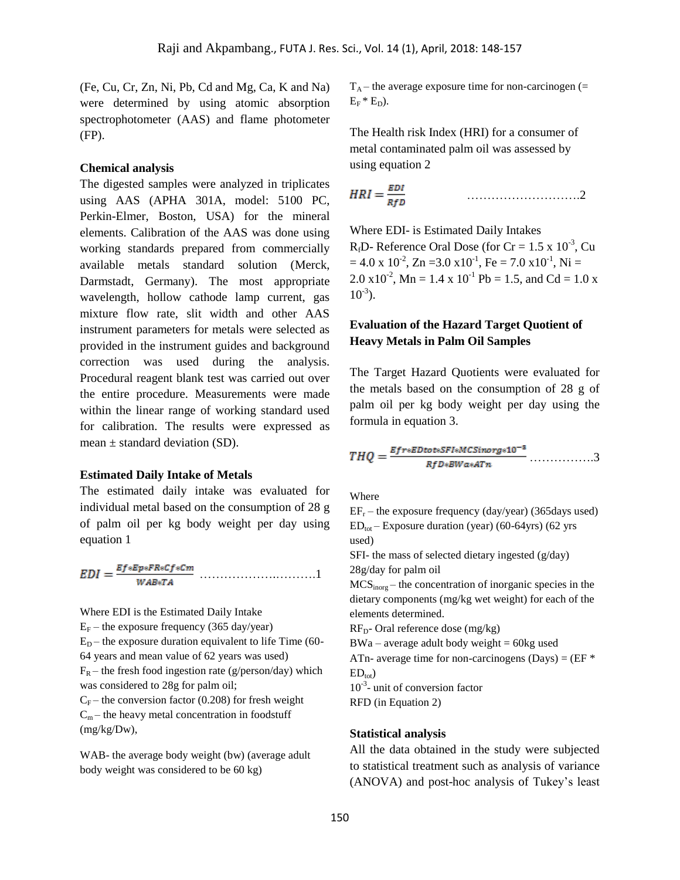(Fe, Cu, Cr, Zn, Ni, Pb, Cd and Mg, Ca, K and Na) were determined by using atomic absorption spectrophotometer (AAS) and flame photometer (FP).

#### **Chemical analysis**

The digested samples were analyzed in triplicates using AAS (APHA 301A, model: 5100 PC, Perkin-Elmer, Boston, USA) for the mineral elements. Calibration of the AAS was done using working standards prepared from commercially available metals standard solution (Merck, Darmstadt, Germany). The most appropriate wavelength, hollow cathode lamp current, gas mixture flow rate, slit width and other AAS instrument parameters for metals were selected as provided in the instrument guides and background correction was used during the analysis. Procedural reagent blank test was carried out over the entire procedure. Measurements were made within the linear range of working standard used for calibration. The results were expressed as mean  $\pm$  standard deviation (SD).

#### **Estimated Daily Intake of Metals**

The estimated daily intake was evaluated for individual metal based on the consumption of 28 g of palm oil per kg body weight per day using equation 1

……………….……….1

Where EDI is the Estimated Daily Intake  $E_F$  – the exposure frequency (365 day/year)  $E_D$  – the exposure duration equivalent to life Time (60-64 years and mean value of 62 years was used)  $F_R$  – the fresh food ingestion rate (g/person/day) which was considered to 28g for palm oil;  $C_F$  – the conversion factor (0.208) for fresh weight  $C_m$  – the heavy metal concentration in foodstuff (mg/kg/Dw),

WAB- the average body weight (bw) (average adult body weight was considered to be 60 kg)

 $T_A$  – the average exposure time for non-carcinogen (=  $E_F * E_D$ ).

The Health risk Index (HRI) for a consumer of metal contaminated palm oil was assessed by using equation 2

……………………….2

Where EDI- is Estimated Daily Intakes  $R_f$ D- Reference Oral Dose (for Cr = 1.5 x 10<sup>-3</sup>, Cu  $= 4.0 \times 10^{-2}$ , Zn = 3.0  $\times 10^{-1}$ , Fe = 7.0  $\times 10^{-1}$ , Ni =  $2.0 \times 10^{-2}$ , Mn = 1.4 x 10<sup>-1</sup> Pb = 1.5, and Cd = 1.0 x  $10^{-3}$ ).

## **Evaluation of the Hazard Target Quotient of Heavy Metals in Palm Oil Samples**

The Target Hazard Quotients were evaluated for the metals based on the consumption of 28 g of palm oil per kg body weight per day using the formula in equation 3.

$$
THQ = \frac{Efr*EDtot*SFI*MCSinorg*10^{-8}}{RfD*BWa*ATn} \dots \dots \dots \dots \dots 3
$$

Where

 $EF_r$  – the exposure frequency (day/year) (365days used)  $ED_{tot}$  – Exposure duration (year) (60-64yrs) (62 yrs used)

SFI- the mass of selected dietary ingested (g/day) 28g/day for palm oil

 $MCS<sub>inore</sub>$  – the concentration of inorganic species in the dietary components (mg/kg wet weight) for each of the elements determined.

 $RF_{D}$ - Oral reference dose (mg/kg)

 $BWa$  – average adult body weight = 60kg used ATn- average time for non-carcinogens (Days) =  $(EF^*$ 

 $ED_{\text{tot}}$ )

10<sup>-3</sup>- unit of conversion factor

RFD (in Equation 2)

#### **Statistical analysis**

All the data obtained in the study were subjected to statistical treatment such as analysis of variance (ANOVA) and post-hoc analysis of Tukey's least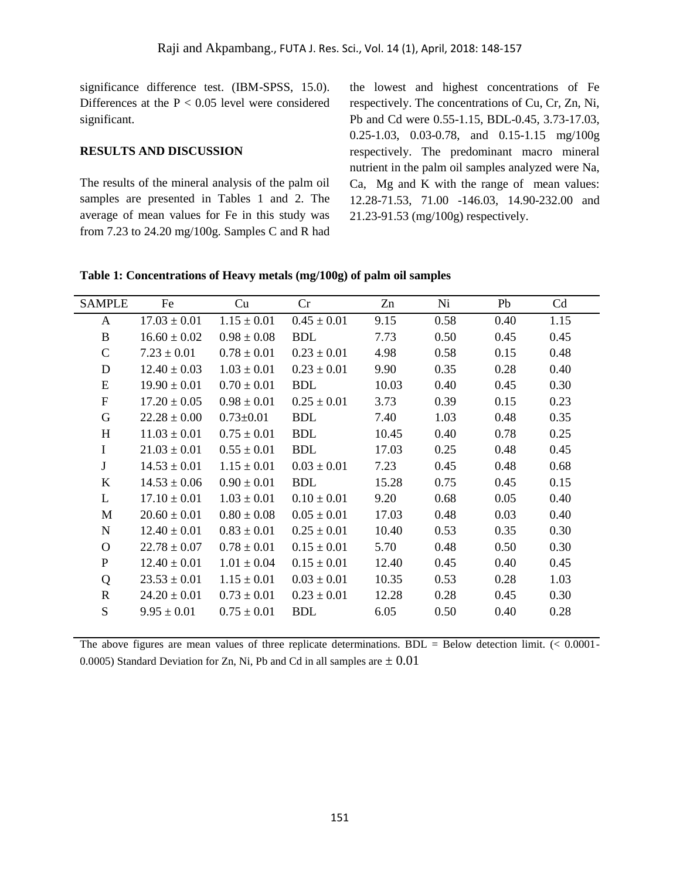significance difference test. (IBM-SPSS, 15.0). Differences at the  $P < 0.05$  level were considered significant.

#### **RESULTS AND DISCUSSION**

The results of the mineral analysis of the palm oil samples are presented in Tables 1 and 2. The average of mean values for Fe in this study was from 7.23 to 24.20 mg/100g. Samples C and R had the lowest and highest concentrations of Fe respectively. The concentrations of Cu, Cr, Zn, Ni, Pb and Cd were 0.55-1.15, BDL-0.45, 3.73-17.03, 0.25-1.03, 0.03-0.78, and 0.15-1.15 mg/100g respectively. The predominant macro mineral nutrient in the palm oil samples analyzed were Na, Ca, Mg and K with the range of mean values: 12.28-71.53, 71.00 -146.03, 14.90-232.00 and 21.23-91.53 (mg/100g) respectively.

#### **Table 1: Concentrations of Heavy metals (mg/100g) of palm oil samples**

| <b>SAMPLE</b> | Fe               | Cu              | Cr              | Zn    | Ni   | Pb   | Cd   |
|---------------|------------------|-----------------|-----------------|-------|------|------|------|
| A             | $17.03 \pm 0.01$ | $1.15 \pm 0.01$ | $0.45 \pm 0.01$ | 9.15  | 0.58 | 0.40 | 1.15 |
| B             | $16.60 \pm 0.02$ | $0.98 \pm 0.08$ | <b>BDL</b>      | 7.73  | 0.50 | 0.45 | 0.45 |
| $\mathsf{C}$  | $7.23 \pm 0.01$  | $0.78 \pm 0.01$ | $0.23 \pm 0.01$ | 4.98  | 0.58 | 0.15 | 0.48 |
| D             | $12.40 \pm 0.03$ | $1.03 \pm 0.01$ | $0.23 \pm 0.01$ | 9.90  | 0.35 | 0.28 | 0.40 |
| E             | $19.90 \pm 0.01$ | $0.70 \pm 0.01$ | <b>BDL</b>      | 10.03 | 0.40 | 0.45 | 0.30 |
| ${\bf F}$     | $17.20 \pm 0.05$ | $0.98 \pm 0.01$ | $0.25 \pm 0.01$ | 3.73  | 0.39 | 0.15 | 0.23 |
| G             | $22.28 \pm 0.00$ | $0.73 \pm 0.01$ | <b>BDL</b>      | 7.40  | 1.03 | 0.48 | 0.35 |
| H             | $11.03 \pm 0.01$ | $0.75 \pm 0.01$ | <b>BDL</b>      | 10.45 | 0.40 | 0.78 | 0.25 |
| $\mathbf I$   | $21.03 \pm 0.01$ | $0.55 \pm 0.01$ | <b>BDL</b>      | 17.03 | 0.25 | 0.48 | 0.45 |
| $\mathbf J$   | $14.53 \pm 0.01$ | $1.15 \pm 0.01$ | $0.03 \pm 0.01$ | 7.23  | 0.45 | 0.48 | 0.68 |
| $\bf K$       | $14.53 \pm 0.06$ | $0.90 \pm 0.01$ | <b>BDL</b>      | 15.28 | 0.75 | 0.45 | 0.15 |
| L             | $17.10 \pm 0.01$ | $1.03 \pm 0.01$ | $0.10 \pm 0.01$ | 9.20  | 0.68 | 0.05 | 0.40 |
| M             | $20.60 \pm 0.01$ | $0.80 \pm 0.08$ | $0.05 \pm 0.01$ | 17.03 | 0.48 | 0.03 | 0.40 |
| $\mathbf N$   | $12.40 \pm 0.01$ | $0.83 \pm 0.01$ | $0.25 \pm 0.01$ | 10.40 | 0.53 | 0.35 | 0.30 |
| $\Omega$      | $22.78 \pm 0.07$ | $0.78 \pm 0.01$ | $0.15 \pm 0.01$ | 5.70  | 0.48 | 0.50 | 0.30 |
| $\mathbf{P}$  | $12.40 \pm 0.01$ | $1.01 \pm 0.04$ | $0.15 \pm 0.01$ | 12.40 | 0.45 | 0.40 | 0.45 |
| Q             | $23.53 \pm 0.01$ | $1.15 \pm 0.01$ | $0.03 \pm 0.01$ | 10.35 | 0.53 | 0.28 | 1.03 |
| $\mathbf R$   | $24.20 \pm 0.01$ | $0.73 \pm 0.01$ | $0.23 \pm 0.01$ | 12.28 | 0.28 | 0.45 | 0.30 |
| S             | $9.95 \pm 0.01$  | $0.75 \pm 0.01$ | <b>BDL</b>      | 6.05  | 0.50 | 0.40 | 0.28 |
|               |                  |                 |                 |       |      |      |      |

The above figures are mean values of three replicate determinations.  $BDL = Below$  detection limit.  $(< 0.0001 -$ 0.0005) Standard Deviation for Zn, Ni, Pb and Cd in all samples are  $\pm$  0.01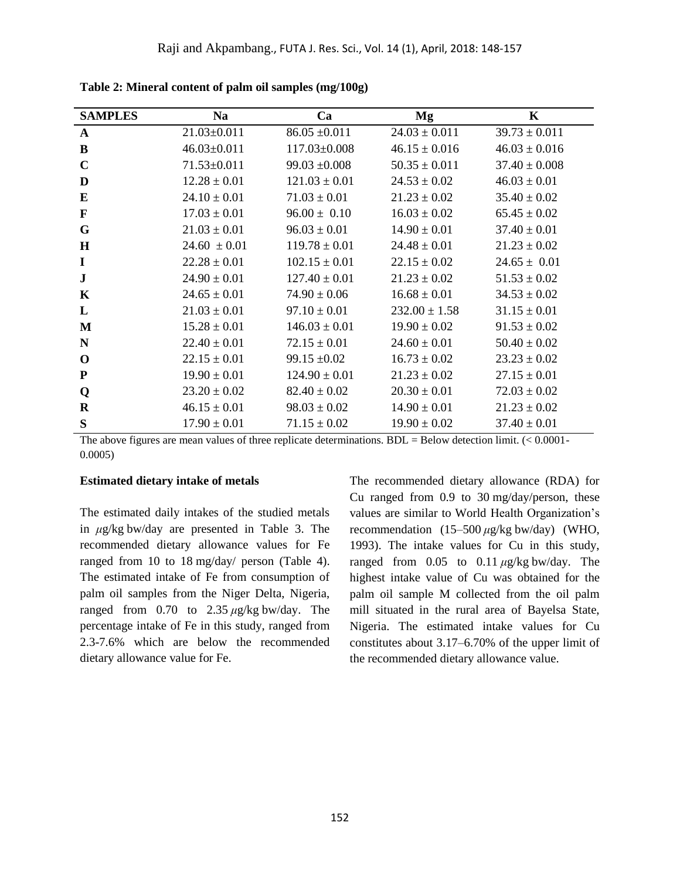| <b>SAMPLES</b> | <b>Na</b>         | Ca                | Mg                | $\mathbf K$       |
|----------------|-------------------|-------------------|-------------------|-------------------|
| A              | $21.03 \pm 0.011$ | $86.05 \pm 0.011$ | $24.03 \pm 0.011$ | $39.73 \pm 0.011$ |
| B              | $46.03 \pm 0.011$ | 117.03±0.008      | $46.15 \pm 0.016$ | $46.03 \pm 0.016$ |
| $\mathbf C$    | 71.53±0.011       | $99.03 \pm 0.008$ | $50.35 \pm 0.011$ | $37.40 \pm 0.008$ |
| D              | $12.28 \pm 0.01$  | $121.03 \pm 0.01$ | $24.53 \pm 0.02$  | $46.03 \pm 0.01$  |
| E              | $24.10 \pm 0.01$  | $71.03 \pm 0.01$  | $21.23 \pm 0.02$  | $35.40 \pm 0.02$  |
| F              | $17.03 \pm 0.01$  | $96.00 \pm 0.10$  | $16.03 \pm 0.02$  | $65.45 \pm 0.02$  |
| G              | $21.03 \pm 0.01$  | $96.03 \pm 0.01$  | $14.90 \pm 0.01$  | $37.40 \pm 0.01$  |
| H              | $24.60 \pm 0.01$  | $119.78 \pm 0.01$ | $24.48 \pm 0.01$  | $21.23 \pm 0.02$  |
| $\bf{I}$       | $22.28 \pm 0.01$  | $102.15 \pm 0.01$ | $22.15 \pm 0.02$  | $24.65 \pm 0.01$  |
| ${\bf J}$      | $24.90 \pm 0.01$  | $127.40 \pm 0.01$ | $21.23 \pm 0.02$  | $51.53 \pm 0.02$  |
| K              | $24.65 \pm 0.01$  | $74.90 \pm 0.06$  | $16.68 \pm 0.01$  | $34.53 \pm 0.02$  |
| L              | $21.03 \pm 0.01$  | $97.10 \pm 0.01$  | $232.00 \pm 1.58$ | $31.15 \pm 0.01$  |
| M              | $15.28 \pm 0.01$  | $146.03 \pm 0.01$ | $19.90 \pm 0.02$  | $91.53 \pm 0.02$  |
| N              | $22.40 \pm 0.01$  | $72.15 \pm 0.01$  | $24.60 \pm 0.01$  | $50.40 \pm 0.02$  |
| $\bf{0}$       | $22.15 \pm 0.01$  | $99.15 \pm 0.02$  | $16.73 \pm 0.02$  | $23.23 \pm 0.02$  |
| ${\bf P}$      | $19.90 \pm 0.01$  | $124.90 \pm 0.01$ | $21.23 \pm 0.02$  | $27.15 \pm 0.01$  |
| Q              | $23.20 \pm 0.02$  | $82.40 \pm 0.02$  | $20.30 \pm 0.01$  | $72.03 \pm 0.02$  |
| R              | $46.15 \pm 0.01$  | $98.03 \pm 0.02$  | $14.90 \pm 0.01$  | $21.23 \pm 0.02$  |
| S              | $17.90 \pm 0.01$  | $71.15 \pm 0.02$  | $19.90 \pm 0.02$  | $37.40 \pm 0.01$  |

**Table 2: Mineral content of palm oil samples (mg/100g)**

The above figures are mean values of three replicate determinations.  $BDL = Below$  detection limit.  $(< 0.0001 -$ 0.0005)

#### **Estimated dietary intake of metals**

The estimated daily intakes of the studied metals in *μ*g/kg bw/day are presented in Table 3. The recommended dietary allowance values for Fe ranged from 10 to 18 mg/day/ person (Table 4). The estimated intake of Fe from consumption of palm oil samples from the Niger Delta, Nigeria, ranged from 0.70 to 2.35 *μ*g/kg bw/day. The percentage intake of Fe in this study, ranged from 2.3-7.6% which are below the recommended dietary allowance value for Fe.

The recommended dietary allowance (RDA) for Cu ranged from 0.9 to 30 mg/day/person, these values are similar to World Health Organization's recommendation (15–500 *μ*g/kg bw/day) (WHO, 1993). The intake values for Cu in this study, ranged from 0.05 to 0.11 *μ*g/kg bw/day. The highest intake value of Cu was obtained for the palm oil sample M collected from the oil palm mill situated in the rural area of Bayelsa State, Nigeria. The estimated intake values for Cu constitutes about 3.17–6.70% of the upper limit of the recommended dietary allowance value.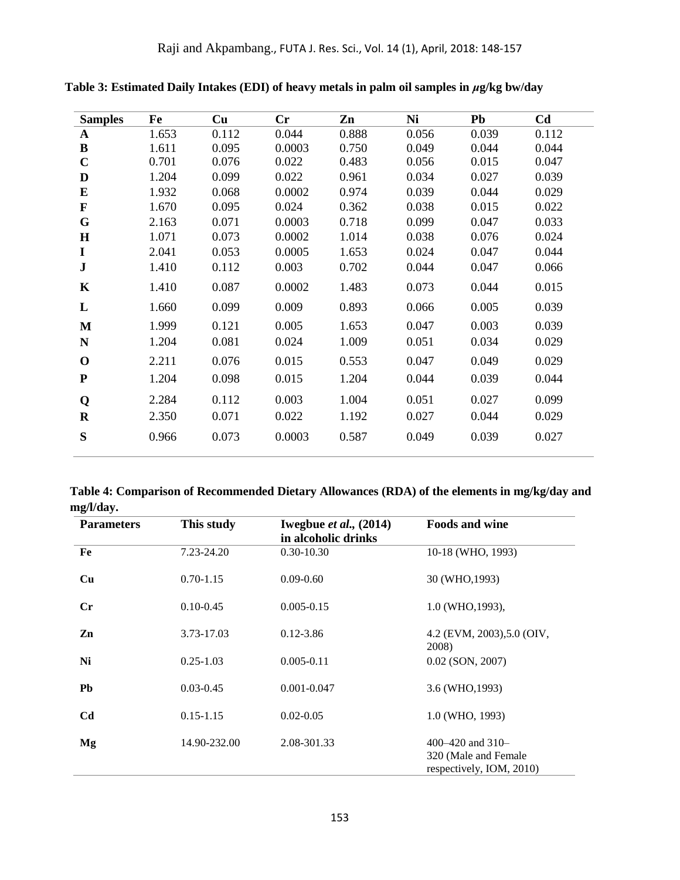| <b>Samples</b> | Fe    | Cu    | $\mathbf{C}\mathbf{r}$ | Zn    | Ni    | <b>Pb</b> | C <sub>d</sub> |
|----------------|-------|-------|------------------------|-------|-------|-----------|----------------|
| $\mathbf{A}$   | 1.653 | 0.112 | 0.044                  | 0.888 | 0.056 | 0.039     | 0.112          |
| $\bf{B}$       | 1.611 | 0.095 | 0.0003                 | 0.750 | 0.049 | 0.044     | 0.044          |
| $\mathbf C$    | 0.701 | 0.076 | 0.022                  | 0.483 | 0.056 | 0.015     | 0.047          |
| D              | 1.204 | 0.099 | 0.022                  | 0.961 | 0.034 | 0.027     | 0.039          |
| E              | 1.932 | 0.068 | 0.0002                 | 0.974 | 0.039 | 0.044     | 0.029          |
| $\mathbf F$    | 1.670 | 0.095 | 0.024                  | 0.362 | 0.038 | 0.015     | 0.022          |
| G              | 2.163 | 0.071 | 0.0003                 | 0.718 | 0.099 | 0.047     | 0.033          |
| $\mathbf H$    | 1.071 | 0.073 | 0.0002                 | 1.014 | 0.038 | 0.076     | 0.024          |
| I              | 2.041 | 0.053 | 0.0005                 | 1.653 | 0.024 | 0.047     | 0.044          |
| ${\bf J}$      | 1.410 | 0.112 | 0.003                  | 0.702 | 0.044 | 0.047     | 0.066          |
| K              | 1.410 | 0.087 | 0.0002                 | 1.483 | 0.073 | 0.044     | 0.015          |
| L              | 1.660 | 0.099 | 0.009                  | 0.893 | 0.066 | 0.005     | 0.039          |
| $\mathbf{M}$   | 1.999 | 0.121 | 0.005                  | 1.653 | 0.047 | 0.003     | 0.039          |
| N              | 1.204 | 0.081 | 0.024                  | 1.009 | 0.051 | 0.034     | 0.029          |
| $\mathbf 0$    | 2.211 | 0.076 | 0.015                  | 0.553 | 0.047 | 0.049     | 0.029          |
| ${\bf P}$      | 1.204 | 0.098 | 0.015                  | 1.204 | 0.044 | 0.039     | 0.044          |
| Q              | 2.284 | 0.112 | 0.003                  | 1.004 | 0.051 | 0.027     | 0.099          |
| $\mathbf R$    | 2.350 | 0.071 | 0.022                  | 1.192 | 0.027 | 0.044     | 0.029          |
| S              | 0.966 | 0.073 | 0.0003                 | 0.587 | 0.049 | 0.039     | 0.027          |
|                |       |       |                        |       |       |           |                |

**Table 3: Estimated Daily Intakes (EDI) of heavy metals in palm oil samples in** *μ***g/kg bw/day**

**Table 4: Comparison of Recommended Dietary Allowances (RDA) of the elements in mg/kg/day and mg/l/day.**

| <b>Parameters</b> | This study    | Iwegbue <i>et al.</i> , $(2014)$<br>in alcoholic drinks | <b>Foods and wine</b>                                                  |
|-------------------|---------------|---------------------------------------------------------|------------------------------------------------------------------------|
| Fe                | 7.23-24.20    | $0.30 - 10.30$                                          | 10-18 (WHO, 1993)                                                      |
| Cu                | $0.70 - 1.15$ | $0.09 - 0.60$                                           | 30 (WHO, 1993)                                                         |
| Cr                | $0.10 - 0.45$ | $0.005 - 0.15$                                          | 1.0 (WHO, 1993),                                                       |
| Zn                | 3.73-17.03    | $0.12 - 3.86$                                           | 4.2 (EVM, 2003), 5.0 (OIV,<br>2008)                                    |
| Ni                | $0.25 - 1.03$ | $0.005 - 0.11$                                          | $0.02$ (SON, 2007)                                                     |
| Pb                | $0.03 - 0.45$ | $0.001 - 0.047$                                         | 3.6 (WHO, 1993)                                                        |
| C <sub>d</sub>    | $0.15 - 1.15$ | $0.02 - 0.05$                                           | 1.0 (WHO, 1993)                                                        |
| Mg                | 14.90-232.00  | 2.08-301.33                                             | 400–420 and $310-$<br>320 (Male and Female<br>respectively, IOM, 2010) |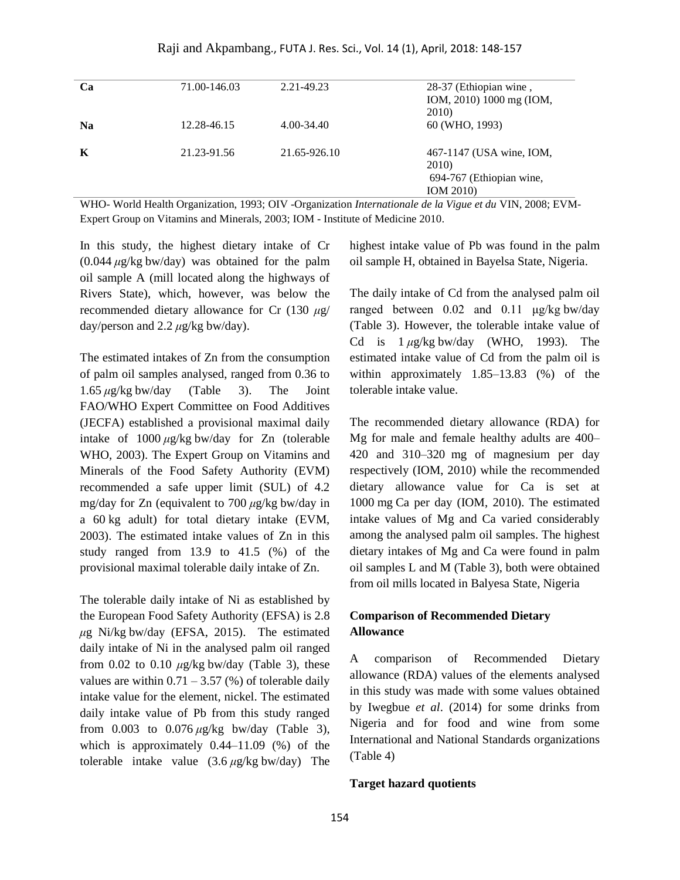| Ca        | 71.00-146.03 | 2.21-49.23   | 28-37 (Ethiopian wine,<br>IOM, 2010) 1000 mg (IOM,<br>2010)                |
|-----------|--------------|--------------|----------------------------------------------------------------------------|
| <b>Na</b> | 12.28-46.15  | 4.00-34.40   | 60 (WHO, 1993)                                                             |
| К         | 21.23-91.56  | 21.65-926.10 | 467-1147 (USA wine, IOM,<br>2010)<br>694-767 (Ethiopian wine,<br>IOM 2010) |

WHO- World Health Organization, 1993; OIV -Organization *Internationale de la Vigue et du* VIN, 2008; EVM-Expert Group on Vitamins and Minerals, 2003; IOM - Institute of Medicine 2010.

In this study, the highest dietary intake of Cr (0.044 *μ*g/kg bw/day) was obtained for the palm oil sample A (mill located along the highways of Rivers State), which, however, was below the recommended dietary allowance for Cr (130 *μ*g/ day/person and 2.2 *μ*g/kg bw/day).

The estimated intakes of Zn from the consumption of palm oil samples analysed, ranged from 0.36 to 1.65 *μ*g/kg bw/day (Table 3). The Joint FAO/WHO Expert Committee on Food Additives (JECFA) established a provisional maximal daily intake of 1000 *μ*g/kg bw/day for Zn (tolerable WHO, 2003). The Expert Group on Vitamins and Minerals of the Food Safety Authority (EVM) recommended a safe upper limit (SUL) of 4.2 mg/day for Zn (equivalent to 700 *μ*g/kg bw/day in a 60 kg adult) for total dietary intake (EVM, 2003). The estimated intake values of Zn in this study ranged from 13.9 to 41.5 (%) of the provisional maximal tolerable daily intake of Zn.

The tolerable daily intake of Ni as established by the European Food Safety Authority (EFSA) is 2.8 *μ*g Ni/kg bw/day (EFSA, 2015). The estimated daily intake of Ni in the analysed palm oil ranged from  $0.02$  to  $0.10 \mu g/kg$  bw/day (Table 3), these values are within  $0.71 - 3.57$  (%) of tolerable daily intake value for the element, nickel. The estimated daily intake value of Pb from this study ranged from 0.003 to 0.076 *μ*g/kg bw/day (Table 3), which is approximately 0.44–11.09 (%) of the tolerable intake value (3.6 *μ*g/kg bw/day) The highest intake value of Pb was found in the palm oil sample H, obtained in Bayelsa State, Nigeria.

The daily intake of Cd from the analysed palm oil ranged between 0.02 and 0.11 μg/kg bw/day (Table 3). However, the tolerable intake value of Cd is 1 *μ*g/kg bw/day (WHO, 1993). The estimated intake value of Cd from the palm oil is within approximately 1.85–13.83 (%) of the tolerable intake value.

The recommended dietary allowance (RDA) for Mg for male and female healthy adults are 400– 420 and 310–320 mg of magnesium per day respectively (IOM, 2010) while the recommended dietary allowance value for Ca is set at 1000 mg Ca per day (IOM, 2010). The estimated intake values of Mg and Ca varied considerably among the analysed palm oil samples. The highest dietary intakes of Mg and Ca were found in palm oil samples L and M (Table 3), both were obtained from oil mills located in Balyesa State, Nigeria

## **Comparison of Recommended Dietary Allowance**

A comparison of Recommended Dietary allowance (RDA) values of the elements analysed in this study was made with some values obtained by Iwegbue *et al*. (2014) for some drinks from Nigeria and for food and wine from some International and National Standards organizations (Table 4)

#### **Target hazard quotients**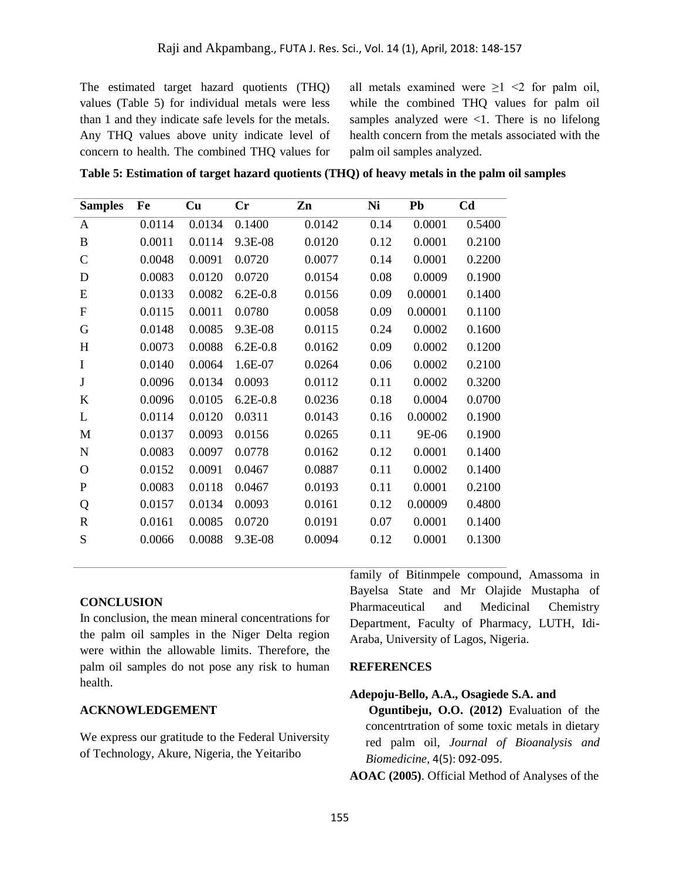The estimated target hazard quotients (THQ) values (Table 5) for individual metals were less than 1 and they indicate safe levels for the metals. Any THQ values above unity indicate level of concern to health. The combined THQ values for all metals examined were  $\geq 1 \leq 2$  for palm oil, while the combined THQ values for palm oil samples analyzed were  $\leq 1$ . There is no lifelong health concern from the metals associated with the palm oil samples analyzed.

**Table 5: Estimation of target hazard quotients (THQ) of heavy metals in the palm oil samples** 

| <b>Samples</b> | Fe     | Cu     | Cr           | Zn     | Ni   | Pb      | C <sub>d</sub> |
|----------------|--------|--------|--------------|--------|------|---------|----------------|
| A              | 0.0114 | 0.0134 | 0.1400       | 0.0142 | 0.14 | 0.0001  | 0.5400         |
| B              | 0.0011 | 0.0114 | 9.3E-08      | 0.0120 | 0.12 | 0.0001  | 0.2100         |
| $\mathsf{C}$   | 0.0048 | 0.0091 | 0.0720       | 0.0077 | 0.14 | 0.0001  | 0.2200         |
| D              | 0.0083 | 0.0120 | 0.0720       | 0.0154 | 0.08 | 0.0009  | 0.1900         |
| E              | 0.0133 | 0.0082 | $6.2E - 0.8$ | 0.0156 | 0.09 | 0.00001 | 0.1400         |
| $\overline{F}$ | 0.0115 | 0.0011 | 0.0780       | 0.0058 | 0.09 | 0.00001 | 0.1100         |
| G              | 0.0148 | 0.0085 | 9.3E-08      | 0.0115 | 0.24 | 0.0002  | 0.1600         |
| H              | 0.0073 | 0.0088 | $6.2E - 0.8$ | 0.0162 | 0.09 | 0.0002  | 0.1200         |
| I              | 0.0140 | 0.0064 | 1.6E-07      | 0.0264 | 0.06 | 0.0002  | 0.2100         |
| J              | 0.0096 | 0.0134 | 0.0093       | 0.0112 | 0.11 | 0.0002  | 0.3200         |
| $\bf K$        | 0.0096 | 0.0105 | $6.2E - 0.8$ | 0.0236 | 0.18 | 0.0004  | 0.0700         |
| L              | 0.0114 | 0.0120 | 0.0311       | 0.0143 | 0.16 | 0.00002 | 0.1900         |
| M              | 0.0137 | 0.0093 | 0.0156       | 0.0265 | 0.11 | 9E-06   | 0.1900         |
| $\mathbf N$    | 0.0083 | 0.0097 | 0.0778       | 0.0162 | 0.12 | 0.0001  | 0.1400         |
| $\mathbf{O}$   | 0.0152 | 0.0091 | 0.0467       | 0.0887 | 0.11 | 0.0002  | 0.1400         |
| $\mathbf{P}$   | 0.0083 | 0.0118 | 0.0467       | 0.0193 | 0.11 | 0.0001  | 0.2100         |
| Q              | 0.0157 | 0.0134 | 0.0093       | 0.0161 | 0.12 | 0.00009 | 0.4800         |
| $\mathbf R$    | 0.0161 | 0.0085 | 0.0720       | 0.0191 | 0.07 | 0.0001  | 0.1400         |
| S              | 0.0066 | 0.0088 | 9.3E-08      | 0.0094 | 0.12 | 0.0001  | 0.1300         |

#### **CONCLUSION**

In conclusion, the mean mineral concentrations for the palm oil samples in the Niger Delta region were within the allowable limits. Therefore, the palm oil samples do not pose any risk to human health.

#### **ACKNOWLEDGEMENT**

We express our gratitude to the Federal University of Technology, Akure, Nigeria, the Yeitaribo

family of Bitinmpele compound, Amassoma in Bayelsa State and Mr Olajide Mustapha of Pharmaceutical and Medicinal Chemistry Department, Faculty of Pharmacy, LUTH, Idi-Araba, University of Lagos, Nigeria.

#### **REFERENCES**

#### **Adepoju-Bello, A.A., Osagiede S.A. and**

**Oguntibeju, O.O. (2012)** Evaluation of the concentrtration of some toxic metals in dietary red palm oil, *Journal of Bioanalysis and Biomedicine,* 4(5): 092-095.

**AOAC (2005)**. Official Method of Analyses of the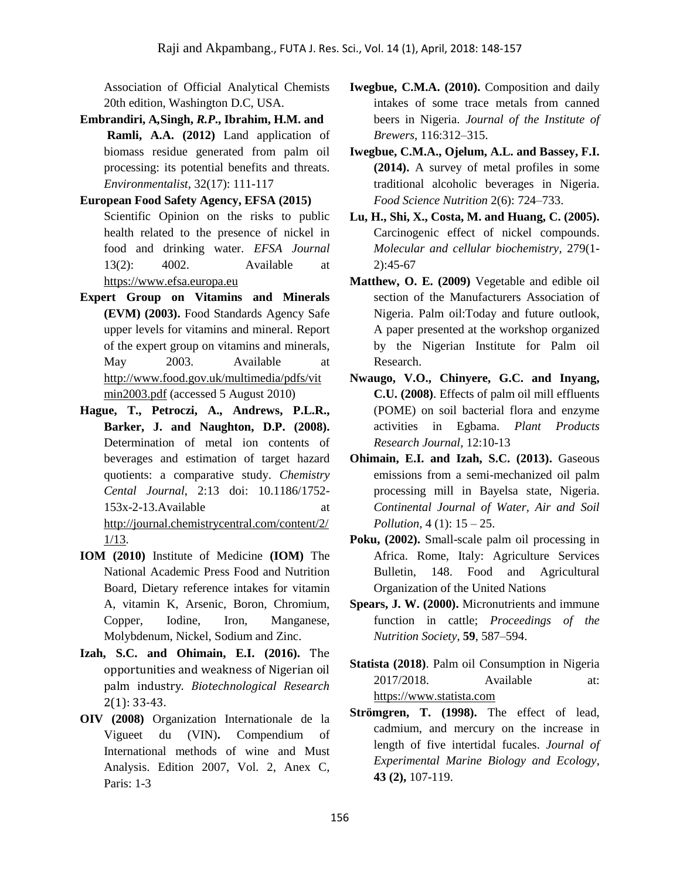Association of Official Analytical Chemists 20th edition, Washington D.C, USA.

- **Embrandiri, A***,***Singh,** *R.P***., Ibrahim, H.M. and Ramli, A.A. (2012)** Land application of biomass residue generated from palm oil processing: its potential benefits and threats. *Environmentalist*, 32(17): 111-117
- **European Food Safety Agency, EFSA (2015)** Scientific Opinion on the risks to public health related to the presence of nickel in food and drinking water. *EFSA Journal* 13(2): 4002. Available at [https://www.efsa.europa.eu](https://www.efsa.europa.eu/)
- **Expert Group on Vitamins and Minerals (EVM) (2003).** Food Standards Agency Safe upper levels for vitamins and mineral. Report of the expert group on vitamins and minerals, May 2003. Available at [http://www.food.gov.uk/multimedia/pdfs/vit](http://www.food.gov.uk/multimedia/pdfs/vitmin2003.pdf) [min2003.pdf](http://www.food.gov.uk/multimedia/pdfs/vitmin2003.pdf) (accessed 5 August 2010)
- **Hague, T., Petroczi, A., Andrews, P.L.R., Barker, J. and Naughton, D.P. (2008).** Determination of metal ion contents of beverages and estimation of target hazard quotients: a comparative study. *Chemistry Cental Journal*, 2:13 doi: 10.1186/1752- 153x-2-13.Available at [http://journal.chemistrycentral.com/content/2/](http://journal.chemistrycentral.com/content/2/1/13) [1/13.](http://journal.chemistrycentral.com/content/2/1/13)
- **IOM (2010)** Institute of Medicine **(IOM)** The National Academic Press Food and Nutrition Board, Dietary reference intakes for vitamin A, vitamin K, Arsenic, Boron, Chromium, Copper, Iodine, Iron, Manganese, Molybdenum, Nickel, Sodium and Zinc.
- **Izah, S.C. and Ohimain, E.I. (2016).** The opportunities and weakness of Nigerian oil palm industry. *Biotechnological Research*  2(1): 33-43.
- **OIV (2008)** Organization Internationale de la Vigueet du (VIN)**.** Compendium of International methods of wine and Must Analysis. Edition 2007, Vol. 2, Anex C, Paris: 1-3
- **Iwegbue, C.M.A. (2010).** Composition and daily intakes of some trace metals from canned beers in Nigeria. *Journal of the Institute of Brewers*, 116:312–315.
- **Iwegbue, C.M.A., Ojelum, A.L. and Bassey, F.I. (2014).** A survey of metal profiles in some traditional alcoholic beverages in Nigeria. *Food Science Nutrition* 2(6): 724–733.
- **Lu, H., Shi, X., Costa, M. and Huang, C. (2005).** Carcinogenic effect of nickel compounds. *Molecular and cellular biochemistry,* 279(1- 2):45-67
- **Matthew, O. E. (2009)** Vegetable and edible oil section of the Manufacturers Association of Nigeria. Palm oil:Today and future outlook, A paper presented at the workshop organized by the Nigerian Institute for Palm oil Research.
- **Nwaugo, V.O., Chinyere, G.C. and Inyang, C.U. (2008)**. Effects of palm oil mill effluents (POME) on soil bacterial flora and enzyme activities in Egbama. *Plant Products Research Journal,* 12:10-13
- **Ohimain, E.I. and Izah, S.C. (2013).** Gaseous emissions from a semi-mechanized oil palm processing mill in Bayelsa state, Nigeria. *Continental Journal of Water, Air and Soil Pollution,* 4 (1): 15 – 25.
- **Poku, (2002).** Small-scale palm oil processing in Africa. Rome, Italy: Agriculture Services Bulletin, 148. Food and Agricultural Organization of the United Nations
- **Spears, J. W. (2000).** Micronutrients and immune function in cattle; *Proceedings of the Nutrition Society*, **59**, 587–594.
- **Statista (2018)**. Palm oil Consumption in Nigeria 2017/2018. Available at: [https://www.statista.com](https://www.statista.com/)
- **Strömgren, T. (1998).** The effect of lead, cadmium, and mercury on the increase in length of five intertidal fucales. *Journal of Experimental Marine Biology and Ecology*, **43 (2),** 107-119.